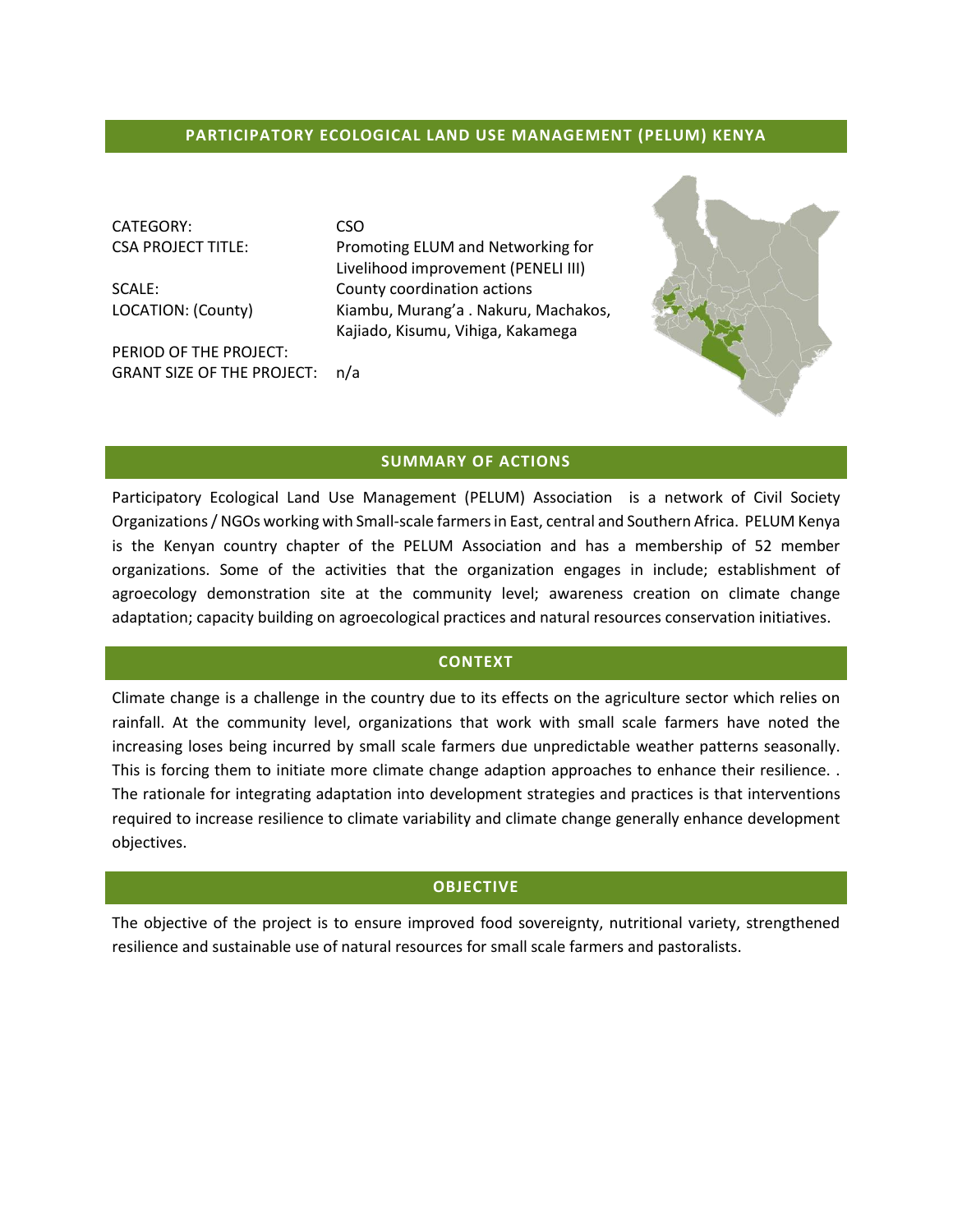## **PARTICIPATORY ECOLOGICAL LAND USE MANAGEMENT (PELUM) KENYA**

CATEGORY: CSO

PERIOD OF THE PROJECT: GRANT SIZE OF THE PROJECT: n/a

CSA PROJECT TITLE: Promoting ELUM and Networking for Livelihood improvement (PENELI III) SCALE: County coordination actions LOCATION: (County) Kiambu, Murang'a . Nakuru, Machakos, Kajiado, Kisumu, Vihiga, Kakamega



Participatory Ecological Land Use Management (PELUM) Association is a network of Civil Society Organizations / NGOs working with Small-scale farmers in East, central and Southern Africa. PELUM Kenya is the Kenyan country chapter of the PELUM Association and has a membership of 52 member organizations. Some of the activities that the organization engages in include; establishment of agroecology demonstration site at the community level; awareness creation on climate change adaptation; capacity building on agroecological practices and natural resources conservation initiatives.

#### **CONTEXT**

Climate change is a challenge in the country due to its effects on the agriculture sector which relies on rainfall. At the community level, organizations that work with small scale farmers have noted the increasing loses being incurred by small scale farmers due unpredictable weather patterns seasonally. This is forcing them to initiate more climate change adaption approaches to enhance their resilience. . The rationale for integrating adaptation into development strategies and practices is that interventions required to increase resilience to climate variability and climate change generally enhance development objectives.

#### **OBJECTIVE**

The objective of the project is to ensure improved food sovereignty, nutritional variety, strengthened resilience and sustainable use of natural resources for small scale farmers and pastoralists.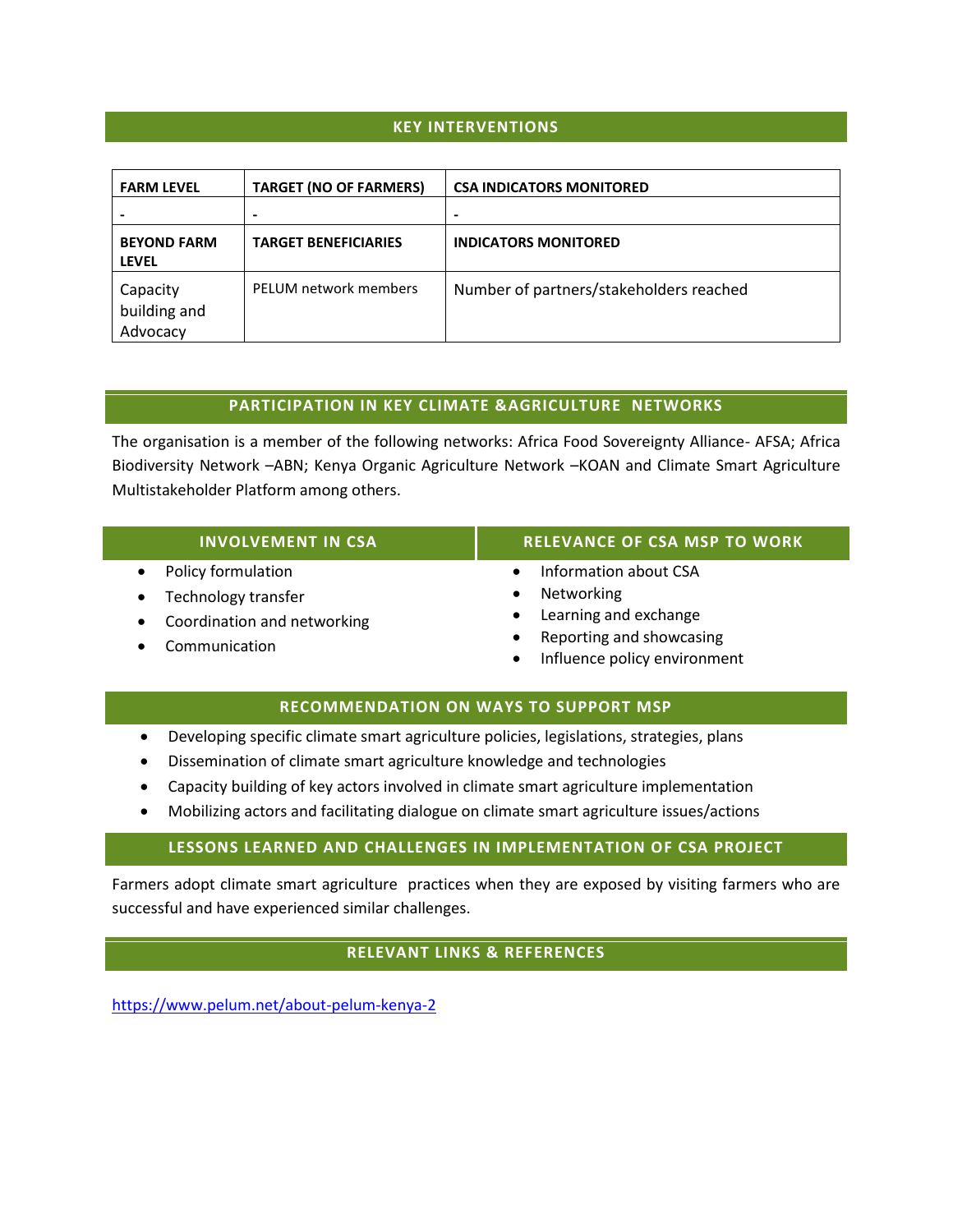## **KEY INTERVENTIONS**

| <b>FARM LEVEL</b>                    | <b>TARGET (NO OF FARMERS)</b> | <b>CSA INDICATORS MONITORED</b>         |
|--------------------------------------|-------------------------------|-----------------------------------------|
|                                      |                               |                                         |
| <b>BEYOND FARM</b><br><b>LEVEL</b>   | <b>TARGET BENEFICIARIES</b>   | <b>INDICATORS MONITORED</b>             |
| Capacity<br>building and<br>Advocacy | PELUM network members         | Number of partners/stakeholders reached |

### **PARTICIPATION IN KEY CLIMATE &AGRICULTURE NETWORKS**

The organisation is a member of the following networks: Africa Food Sovereignty Alliance- AFSA; Africa Biodiversity Network –ABN; Kenya Organic Agriculture Network –KOAN and Climate Smart Agriculture Multistakeholder Platform among others.

| <b>INVOLVEMENT IN CSA</b>        | <b>RELEVANCE OF CSA MSP TO WORK</b>                                   |
|----------------------------------|-----------------------------------------------------------------------|
| Policy formulation<br>$\bullet$  | Information about CSA                                                 |
| Technology transfer<br>$\bullet$ | Networking<br>$\bullet$                                               |
| • Coordination and networking    | • Learning and exchange                                               |
| Communication<br>$\bullet$       | Reporting and showcasing<br>$\bullet$<br>Influence policy environment |

## **RECOMMENDATION ON WAYS TO SUPPORT MSP**

- Developing specific climate smart agriculture policies, legislations, strategies, plans
- Dissemination of climate smart agriculture knowledge and technologies
- Capacity building of key actors involved in climate smart agriculture implementation
- Mobilizing actors and facilitating dialogue on climate smart agriculture issues/actions

### **LESSONS LEARNED AND CHALLENGES IN IMPLEMENTATION OF CSA PROJECT**

Farmers adopt climate smart agriculture practices when they are exposed by visiting farmers who are successful and have experienced similar challenges.

# **RELEVANT LINKS & REFERENCES**

<https://www.pelum.net/about-pelum-kenya-2>